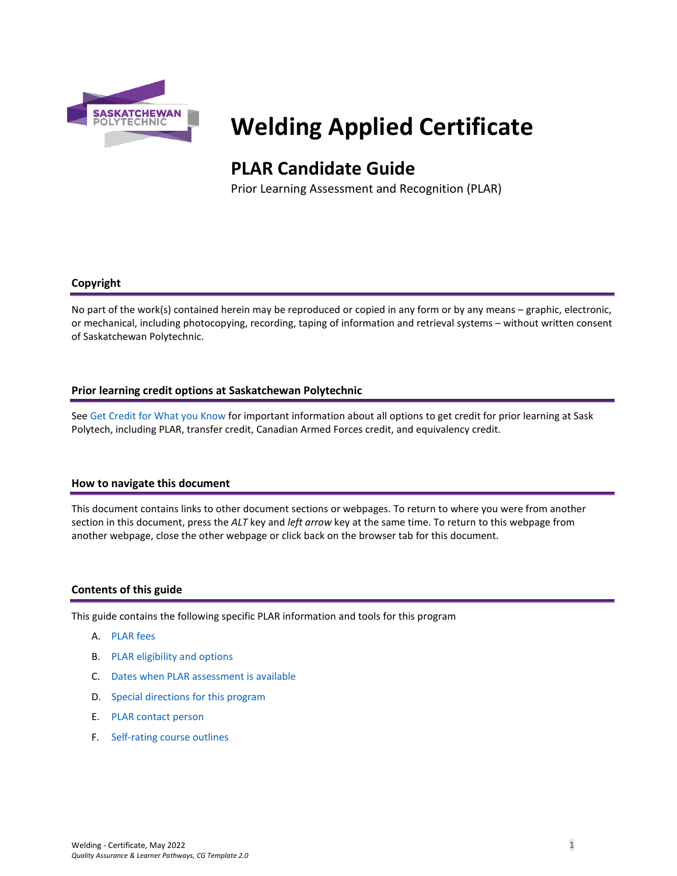

# **Welding Applied Certificate**

# **PLAR Candidate Guide**

Prior Learning Assessment and Recognition (PLAR)

## **Copyright**

No part of the work(s) contained herein may be reproduced or copied in any form or by any means – graphic, electronic, or mechanical, including photocopying, recording, taping of information and retrieval systems – without written consent of Saskatchewan Polytechnic.

#### **Prior learning credit options at Saskatchewan Polytechnic**

Se[e Get Credit for What you Know](https://saskpolytech.ca/admissions/get-credit/) for important information about all options to get credit for prior learning at Sask Polytech, including PLAR, transfer credit, Canadian Armed Forces credit, and equivalency credit.

#### **How to navigate this document**

This document contains links to other document sections or webpages. To return to where you were from another section in this document, press the *ALT* key and *left arrow* key at the same time. To return to this webpage from another webpage, close the other webpage or click back on the browser tab for this document.

## **Contents of this guide**

This guide contains the following specific PLAR information and tools for this program

- A. [PLAR fees](#page-1-0)
- B. [PLAR eligibility and options](#page-1-1)
- C. [Dates when PLAR assessment is available](#page-1-2)
- D. [Special directions for this program](#page-1-3)
- E. [PLAR contact person](#page-2-0)
- F. [Self-rating course outlines](#page-2-1)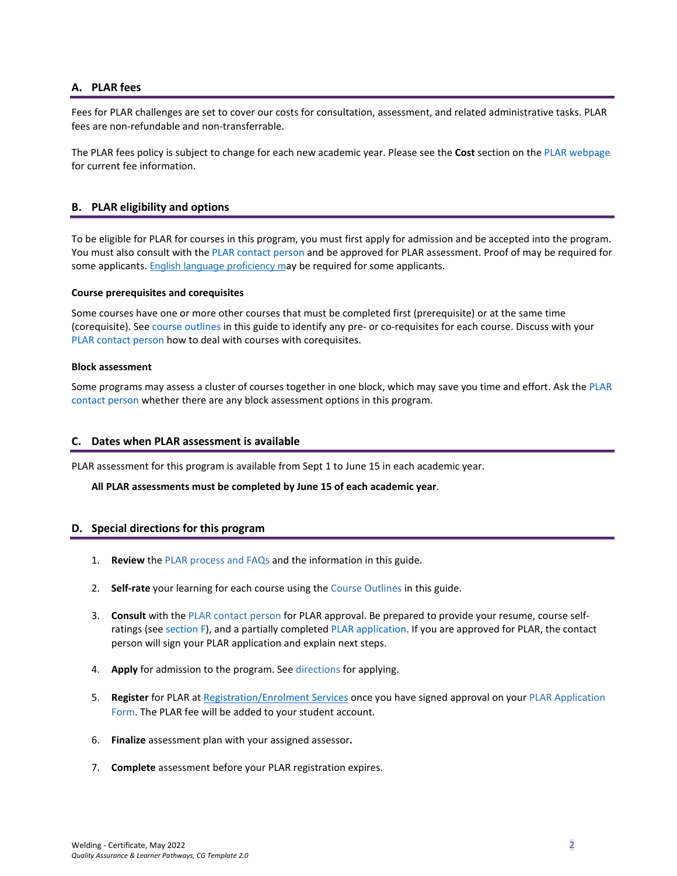#### <span id="page-1-0"></span>**A. PLAR fees**

Fees for PLAR challenges are set to cover our costs for consultation, assessment, and related administrative tasks. PLAR fees are non-refundable and non-transferrable.

<span id="page-1-1"></span>The PLAR fees policy is subject to change for each new academic year. Please see the **Cost** section on th[e PLAR webpage](https://saskpolytech.ca/admissions/get-credit/plar.aspx) for current fee information.

#### **B. PLAR eligibility and options**

To be eligible for PLAR for courses in this program, you must first apply for admission and be accepted into the program. You must also consult with th[e PLAR contact person](#page-2-0) and be approved for PLAR assessment. Proof of may be required for some applicants. **[English language proficiency](https://saskpolytech.ca/admissions/admission-requirements/english-language-requirements.aspx) may be required for some applicants.** 

#### **Course prerequisites and corequisites**

Some courses have one or more other courses that must be completed first (prerequisite) or at the same time (corequisite). See course outlines in this guide to identify any pre- or co-requisites for each course. Discuss with your [PLAR contact person](#page-2-0) how to deal with courses with corequisites.

#### **Block assessment**

<span id="page-1-2"></span>Some programs may assess a cluster of courses together in one block, which may save you time and effort. Ask the PLAR [contact person](#page-2-0) whether there are any block assessment options in this program.

#### **C. Dates when PLAR assessment is available**

PLAR assessment for this program is available from Sept 1 to June 15 in each academic year.

#### <span id="page-1-3"></span>**All PLAR assessments must be completed by June 15 of each academic year**.

#### **D. Special directions for this program**

- 1. **Review** the [PLAR process and FAQs](https://saskpolytech.ca/admissions/get-credit/plar.aspx) and the information in this guide.
- 2. **Self-rate** your learning for each course using the Course Outlines in this guide.
- 3. **Consult** with th[e PLAR contact person](#page-2-0) for PLAR approval. Be prepared to provide your resume, course selfratings (see section F), and a partially complete[d PLAR application.](https://saskpolytech.ca/admissions/resources/documents/plar-application-form.pdf) If you are approved for PLAR, the contact person will sign your PLAR application and explain next steps.
- 4. **Apply** for admission to the program. Se[e directions](https://saskpolytech.ca/admissions/apply-and-register/apply-to-a-program.aspx) for applying.
- 5. **Register** for PLAR at [Registration/Enrolment](https://saskpolytech.ca/admissions/resources/contact-us.aspx) Services once you have signed approval on your [PLAR Application](http://saskpolytech.ca/admissions/resources/documents/plar-application-form.pdf)  [Form.](http://saskpolytech.ca/admissions/resources/documents/plar-application-form.pdf) The PLAR fee will be added to your student account.
- 6. **Finalize** assessment plan with your assigned assessor**.**
- 7. **Complete** assessment before your PLAR registration expires.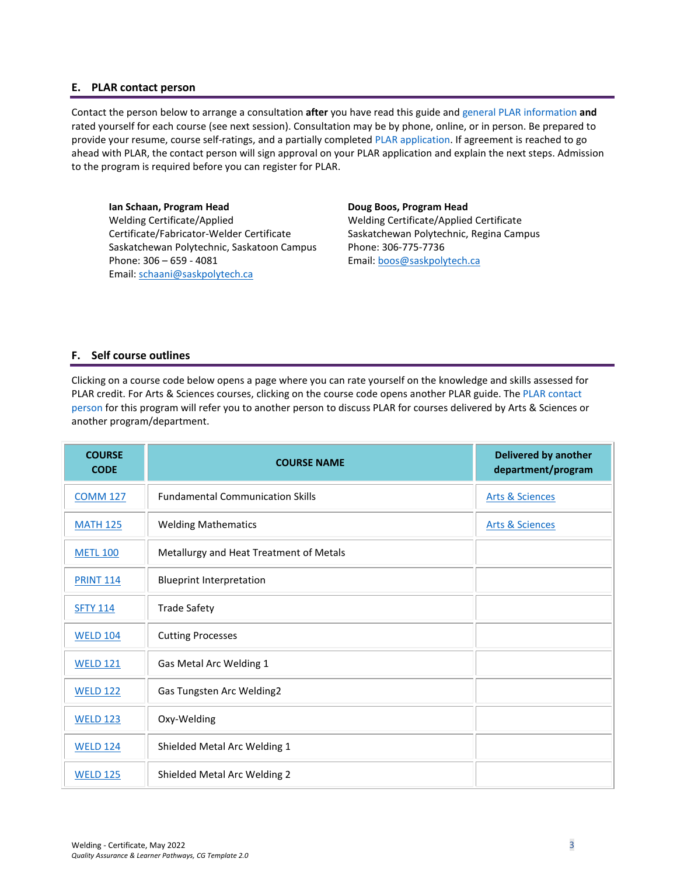#### <span id="page-2-0"></span>**E. PLAR contact person**

Contact the person below to arrange a consultation **after** you have read this guide an[d general PLAR information](http://saskpolytech.ca/admissions/resources/prior-learning-process.aspx) **and** rated yourself for each course (see next session). Consultation may be by phone, online, or in person. Be prepared to provide your resume, course self-ratings, and a partially completed [PLAR application.](https://saskpolytech.ca/admissions/resources/documents/plar-application-form.pdf#search=PLAR%20application) If agreement is reached to go ahead with PLAR, the contact person will sign approval on your PLAR application and explain the next steps. Admission to the program is required before you can register for PLAR.

**Ian Schaan, Program Head** Welding Certificate/Applied Certificate/Fabricator-Welder Certificate Saskatchewan Polytechnic, Saskatoon Campus Phone: 306 – 659 - 4081 Email[: schaani@saskpolytech.ca](mailto:schaani@saskpolytech.ca) 

**Doug Boos, Program Head**

Welding Certificate/Applied Certificate Saskatchewan Polytechnic, Regina Campus Phone: 306-775-7736 Email: [boos@saskpolytech.ca](mailto:boos@saskpolytech.ca) 

#### <span id="page-2-1"></span>**F. Self course outlines**

Clicking on a course code below opens a page where you can rate yourself on the knowledge and skills assessed for PLAR credit. For Arts & Sciences courses, clicking on the course code opens another PLAR guide. The [PLAR contact](#page-2-0)  [person](#page-2-0) for this program will refer you to another person to discuss PLAR for courses delivered by Arts & Sciences or another program/department.

| <b>COURSE</b><br><b>CODE</b> | <b>COURSE NAME</b>                      | <b>Delivered by another</b><br>department/program |
|------------------------------|-----------------------------------------|---------------------------------------------------|
| <b>COMM 127</b>              | <b>Fundamental Communication Skills</b> | <b>Arts &amp; Sciences</b>                        |
| <b>MATH 125</b>              | <b>Welding Mathematics</b>              | <b>Arts &amp; Sciences</b>                        |
| <b>METL 100</b>              | Metallurgy and Heat Treatment of Metals |                                                   |
| <b>PRINT 114</b>             | <b>Blueprint Interpretation</b>         |                                                   |
| <b>SFTY 114</b>              | <b>Trade Safety</b>                     |                                                   |
| <b>WELD 104</b>              | <b>Cutting Processes</b>                |                                                   |
| <b>WELD 121</b>              | Gas Metal Arc Welding 1                 |                                                   |
| <b>WELD 122</b>              | Gas Tungsten Arc Welding2               |                                                   |
| <b>WELD 123</b>              | Oxy-Welding                             |                                                   |
| <b>WELD 124</b>              | Shielded Metal Arc Welding 1            |                                                   |
| <b>WELD 125</b>              | Shielded Metal Arc Welding 2            |                                                   |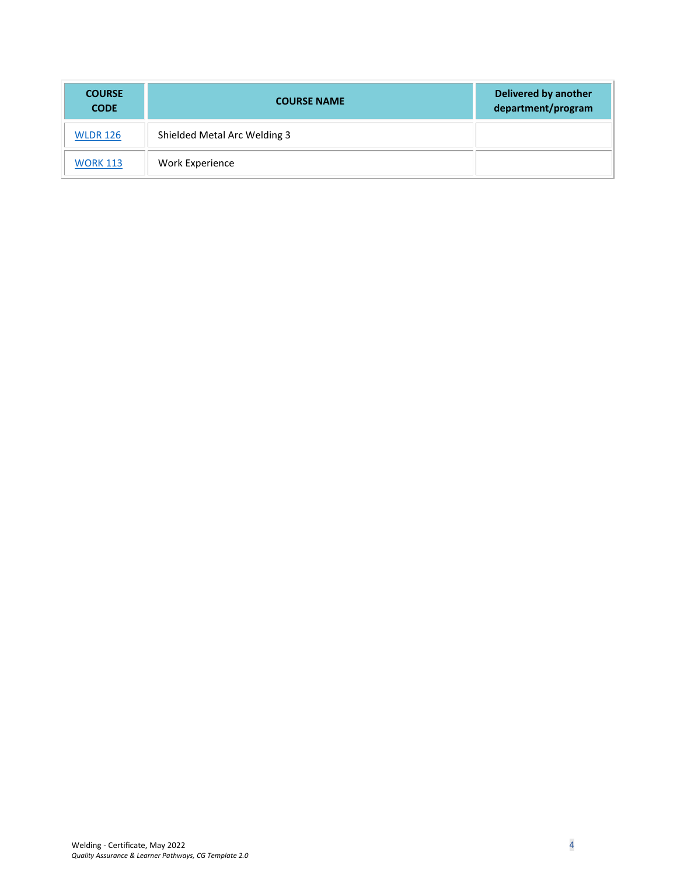| <b>COURSE</b><br><b>CODE</b> | <b>COURSE NAME</b>           | <b>Delivered by another</b><br>department/program |
|------------------------------|------------------------------|---------------------------------------------------|
| <b>WLDR 126</b>              | Shielded Metal Arc Welding 3 |                                                   |
| <b>WORK 113</b>              | Work Experience              |                                                   |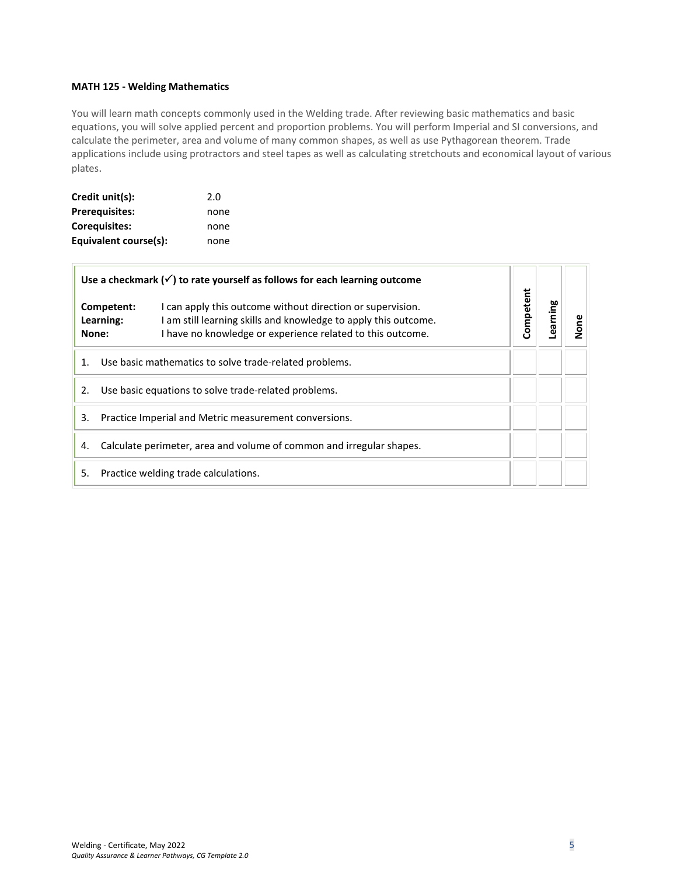#### <span id="page-4-0"></span>**MATH 125 - Welding Mathematics**

You will learn math concepts commonly used in the Welding trade. After reviewing basic mathematics and basic equations, you will solve applied percent and proportion problems. You will perform Imperial and SI conversions, and calculate the perimeter, area and volume of many common shapes, as well as use Pythagorean theorem. Trade applications include using protractors and steel tapes as well as calculating stretchouts and economical layout of various plates.

| Credit unit(s):       | 2.0  |
|-----------------------|------|
| <b>Prerequisites:</b> | none |
| <b>Corequisites:</b>  | none |
| Equivalent course(s): | none |

| Use a checkmark $(\checkmark)$ to rate yourself as follows for each learning outcome |                                                                                                                                                                                                                        |           |         |      |
|--------------------------------------------------------------------------------------|------------------------------------------------------------------------------------------------------------------------------------------------------------------------------------------------------------------------|-----------|---------|------|
| None:                                                                                | I can apply this outcome without direction or supervision.<br>Competent:<br>I am still learning skills and knowledge to apply this outcome.<br>Learning:<br>I have no knowledge or experience related to this outcome. | Competent | earning | Vone |
| Use basic mathematics to solve trade-related problems.<br>1.                         |                                                                                                                                                                                                                        |           |         |      |
| Use basic equations to solve trade-related problems.<br>2.                           |                                                                                                                                                                                                                        |           |         |      |
| 3.<br>Practice Imperial and Metric measurement conversions.                          |                                                                                                                                                                                                                        |           |         |      |
| Calculate perimeter, area and volume of common and irregular shapes.<br>4.           |                                                                                                                                                                                                                        |           |         |      |
| 5.                                                                                   | Practice welding trade calculations.                                                                                                                                                                                   |           |         |      |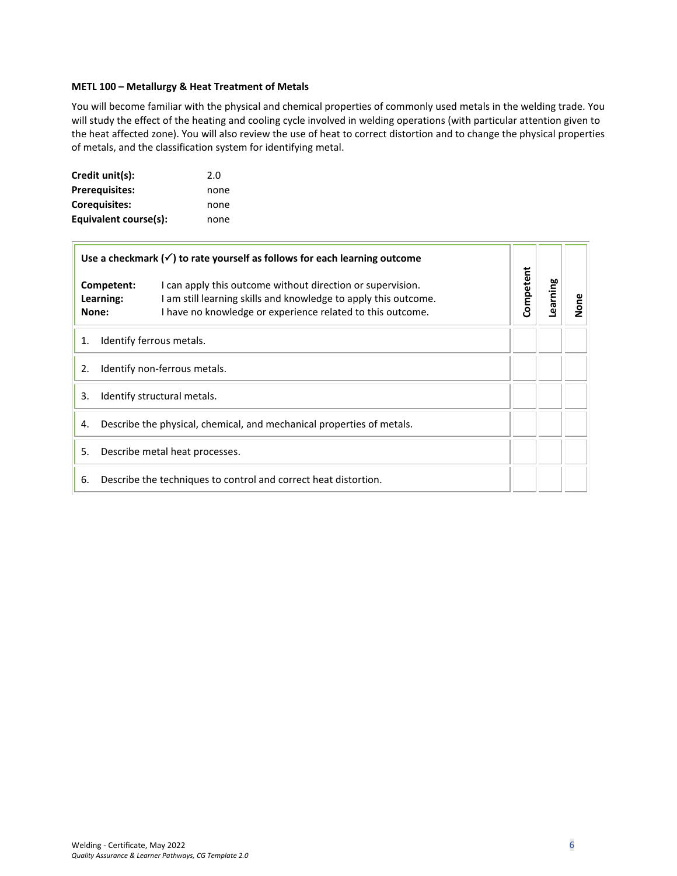#### <span id="page-5-0"></span>**METL 100 – Metallurgy & Heat Treatment of Metals**

You will become familiar with the physical and chemical properties of commonly used metals in the welding trade. You will study the effect of the heating and cooling cycle involved in welding operations (with particular attention given to the heat affected zone). You will also review the use of heat to correct distortion and to change the physical properties of metals, and the classification system for identifying metal.

| Credit unit(s):       | 2.0  |
|-----------------------|------|
| <b>Prerequisites:</b> | none |
| <b>Corequisites:</b>  | none |
| Equivalent course(s): | none |

 $\Box$ 

| Use a checkmark $(\checkmark)$ to rate yourself as follows for each learning outcome |                                  | Competent                                                                                                                                                                                 |  |          |      |
|--------------------------------------------------------------------------------------|----------------------------------|-------------------------------------------------------------------------------------------------------------------------------------------------------------------------------------------|--|----------|------|
|                                                                                      | Competent:<br>Learning:<br>None: | I can apply this outcome without direction or supervision.<br>am still learning skills and knowledge to apply this outcome.<br>I have no knowledge or experience related to this outcome. |  | Learning | None |
| 1.                                                                                   | Identify ferrous metals.         |                                                                                                                                                                                           |  |          |      |
| Identify non-ferrous metals.<br>2.                                                   |                                  |                                                                                                                                                                                           |  |          |      |
| Identify structural metals.<br>3.                                                    |                                  |                                                                                                                                                                                           |  |          |      |
| Describe the physical, chemical, and mechanical properties of metals.<br>4.          |                                  |                                                                                                                                                                                           |  |          |      |
| Describe metal heat processes.<br>5.                                                 |                                  |                                                                                                                                                                                           |  |          |      |
| 6.<br>Describe the techniques to control and correct heat distortion.                |                                  |                                                                                                                                                                                           |  |          |      |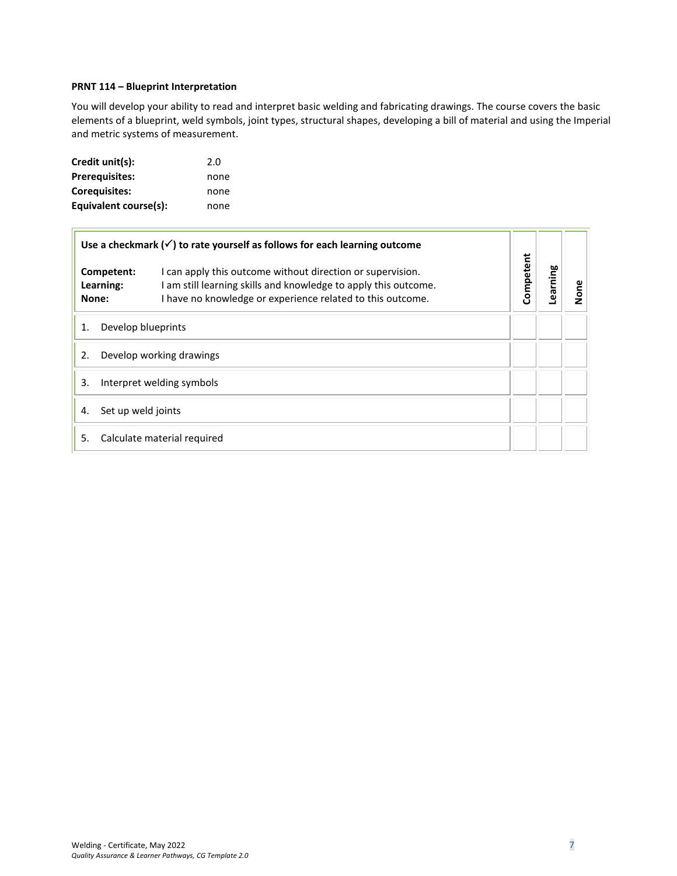#### <span id="page-6-0"></span>**PRNT 114 – Blueprint Interpretation**

You will develop your ability to read and interpret basic welding and fabricating drawings. The course covers the basic elements of a blueprint, weld symbols, joint types, structural shapes, developing a bill of material and using the Imperial and metric systems of measurement.

| Credit unit(s):       | 2.0  |
|-----------------------|------|
| <b>Prerequisites:</b> | none |
| <b>Corequisites:</b>  | none |
| Equivalent course(s): | none |

| Use a checkmark $(\checkmark)$ to rate yourself as follows for each learning outcome<br>I can apply this outcome without direction or supervision.<br>Competent:<br>I am still learning skills and knowledge to apply this outcome.<br>Learning:<br>I have no knowledge or experience related to this outcome.<br>None: |                    |                             |           |          |      |
|-------------------------------------------------------------------------------------------------------------------------------------------------------------------------------------------------------------------------------------------------------------------------------------------------------------------------|--------------------|-----------------------------|-----------|----------|------|
|                                                                                                                                                                                                                                                                                                                         |                    |                             | Competent | earning. | None |
| 1.                                                                                                                                                                                                                                                                                                                      | Develop blueprints |                             |           |          |      |
| 2.<br>Develop working drawings                                                                                                                                                                                                                                                                                          |                    |                             |           |          |      |
| 3.<br>Interpret welding symbols                                                                                                                                                                                                                                                                                         |                    |                             |           |          |      |
| 4.                                                                                                                                                                                                                                                                                                                      | Set up weld joints |                             |           |          |      |
| 5.                                                                                                                                                                                                                                                                                                                      |                    | Calculate material required |           |          |      |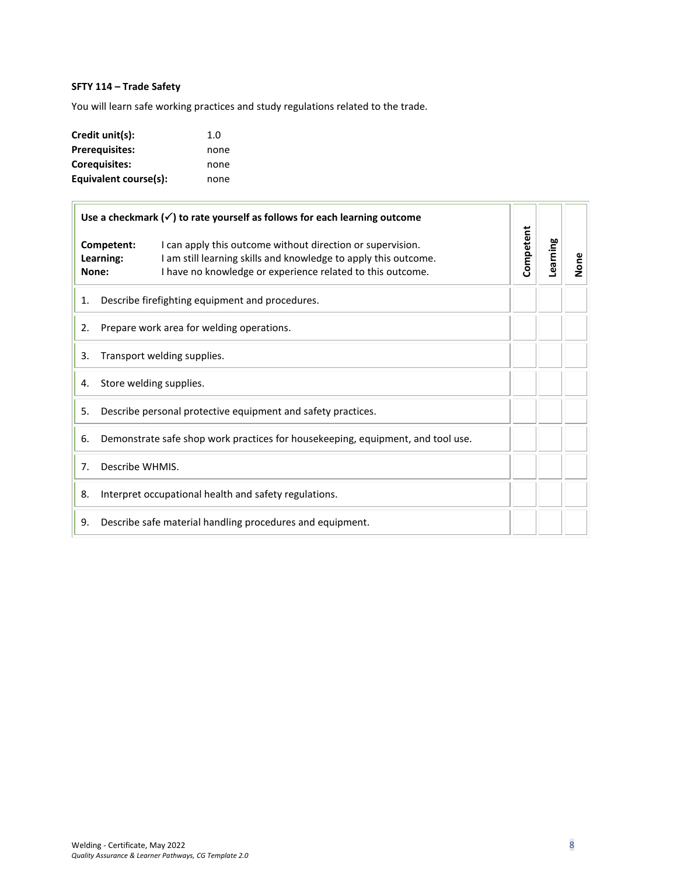# **SFTY 114 – Trade Safety**

You will learn safe working practices and study regulations related to the trade.

| Credit unit(s):       | 1. $\Omega$ |
|-----------------------|-------------|
| <b>Prerequisites:</b> | none        |
| <b>Corequisites:</b>  | none        |
| Equivalent course(s): | none        |

| Use a checkmark $(\checkmark)$ to rate yourself as follows for each learning outcome |                                                                                 |                                                                                                                                                                                             |           |          |      |
|--------------------------------------------------------------------------------------|---------------------------------------------------------------------------------|---------------------------------------------------------------------------------------------------------------------------------------------------------------------------------------------|-----------|----------|------|
| Competent:<br>Learning:<br>None:                                                     |                                                                                 | I can apply this outcome without direction or supervision.<br>I am still learning skills and knowledge to apply this outcome.<br>I have no knowledge or experience related to this outcome. | Competent | Learning | None |
| 1.                                                                                   | Describe firefighting equipment and procedures.                                 |                                                                                                                                                                                             |           |          |      |
| 2.                                                                                   |                                                                                 | Prepare work area for welding operations.                                                                                                                                                   |           |          |      |
| Transport welding supplies.<br>3.                                                    |                                                                                 |                                                                                                                                                                                             |           |          |      |
| 4.                                                                                   | Store welding supplies.                                                         |                                                                                                                                                                                             |           |          |      |
| Describe personal protective equipment and safety practices.<br>5.                   |                                                                                 |                                                                                                                                                                                             |           |          |      |
| 6.                                                                                   | Demonstrate safe shop work practices for housekeeping, equipment, and tool use. |                                                                                                                                                                                             |           |          |      |
| 7.                                                                                   | Describe WHMIS.                                                                 |                                                                                                                                                                                             |           |          |      |
| 8.                                                                                   |                                                                                 | Interpret occupational health and safety regulations.                                                                                                                                       |           |          |      |
| 9.                                                                                   |                                                                                 | Describe safe material handling procedures and equipment.                                                                                                                                   |           |          |      |

n n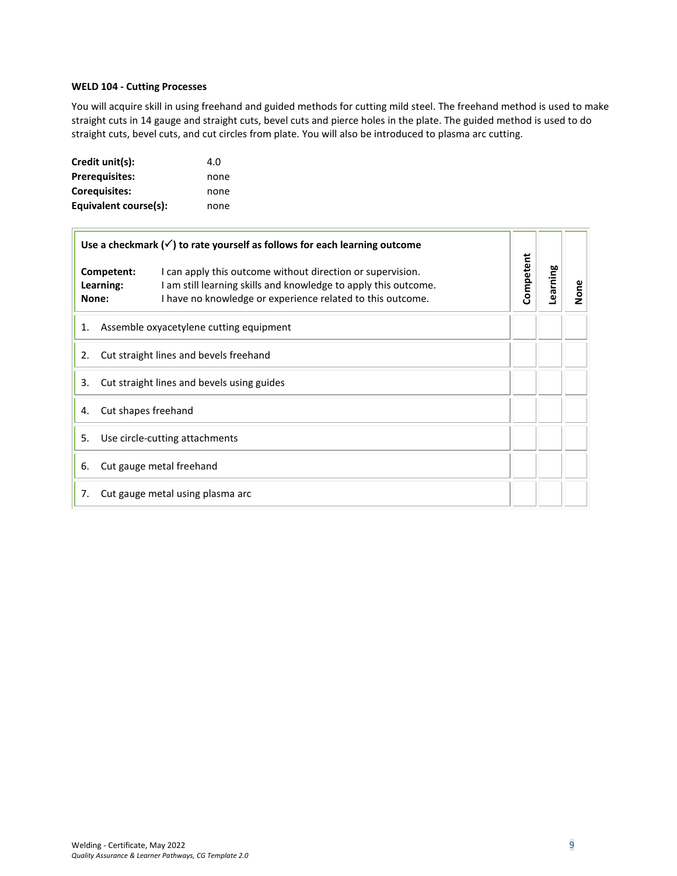#### <span id="page-8-0"></span>**WELD 104 - Cutting Processes**

You will acquire skill in using freehand and guided methods for cutting mild steel. The freehand method is used to make straight cuts in 14 gauge and straight cuts, bevel cuts and pierce holes in the plate. The guided method is used to do straight cuts, bevel cuts, and cut circles from plate. You will also be introduced to plasma arc cutting.

| Credit unit(s):       | 4.0  |
|-----------------------|------|
| <b>Prerequisites:</b> | none |
| <b>Corequisites:</b>  | none |
| Equivalent course(s): | none |

 $\blacksquare$ 

| Use a checkmark $(\checkmark)$ to rate yourself as follows for each learning outcome<br>I can apply this outcome without direction or supervision.<br>Competent:<br>Learning:<br>I am still learning skills and knowledge to apply this outcome.<br>I have no knowledge or experience related to this outcome.<br>None: |  |  |           |          |      |
|-------------------------------------------------------------------------------------------------------------------------------------------------------------------------------------------------------------------------------------------------------------------------------------------------------------------------|--|--|-----------|----------|------|
|                                                                                                                                                                                                                                                                                                                         |  |  | Competent | Learning | None |
| Assemble oxyacetylene cutting equipment<br>1.                                                                                                                                                                                                                                                                           |  |  |           |          |      |
| Cut straight lines and bevels freehand<br>2.                                                                                                                                                                                                                                                                            |  |  |           |          |      |
| Cut straight lines and bevels using guides<br>3.                                                                                                                                                                                                                                                                        |  |  |           |          |      |
| Cut shapes freehand<br>4.                                                                                                                                                                                                                                                                                               |  |  |           |          |      |
| Use circle-cutting attachments<br>5.                                                                                                                                                                                                                                                                                    |  |  |           |          |      |
| Cut gauge metal freehand<br>6.                                                                                                                                                                                                                                                                                          |  |  |           |          |      |
| Cut gauge metal using plasma arc<br>7.                                                                                                                                                                                                                                                                                  |  |  |           |          |      |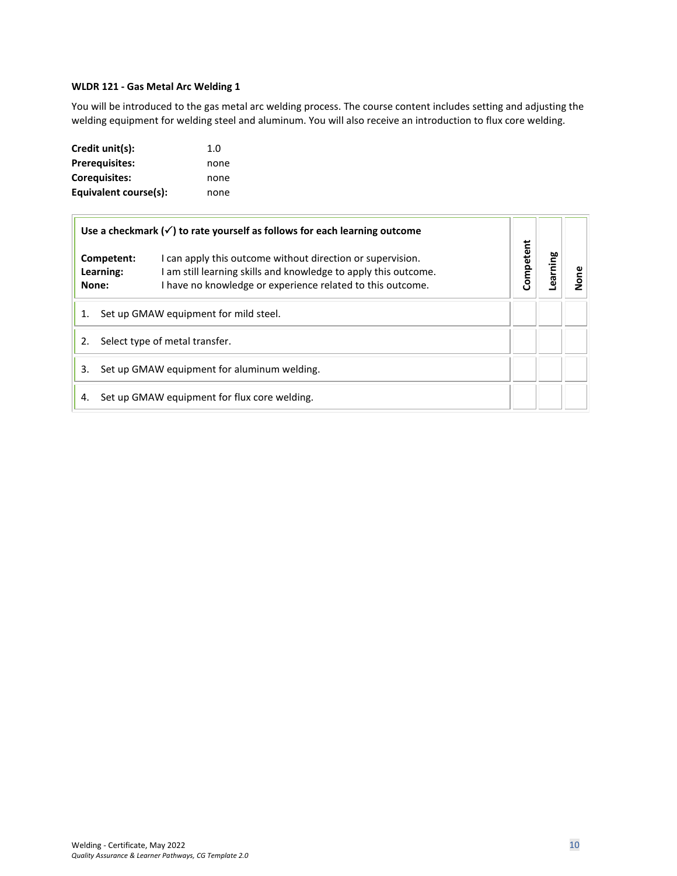#### <span id="page-9-0"></span>**WLDR 121 - Gas Metal Arc Welding 1**

You will be introduced to the gas metal arc welding process. The course content includes setting and adjusting the welding equipment for welding steel and aluminum. You will also receive an introduction to flux core welding.

| Credit unit(s):       | 1. $\Omega$ |
|-----------------------|-------------|
| <b>Prerequisites:</b> | none        |
| <b>Corequisites:</b>  | none        |
| Equivalent course(s): | none        |

|                                                   | Use a checkmark $(\checkmark)$ to rate yourself as follows for each learning outcome                                                                                                                      |           |         |      |
|---------------------------------------------------|-----------------------------------------------------------------------------------------------------------------------------------------------------------------------------------------------------------|-----------|---------|------|
| Learning:<br>None:                                | I can apply this outcome without direction or supervision.<br>Competent:<br>I am still learning skills and knowledge to apply this outcome.<br>I have no knowledge or experience related to this outcome. | Competent | earning | None |
| 1.                                                | Set up GMAW equipment for mild steel.                                                                                                                                                                     |           |         |      |
| Select type of metal transfer.<br>2.              |                                                                                                                                                                                                           |           |         |      |
| Set up GMAW equipment for aluminum welding.<br>3. |                                                                                                                                                                                                           |           |         |      |
| 4.                                                | Set up GMAW equipment for flux core welding.                                                                                                                                                              |           |         |      |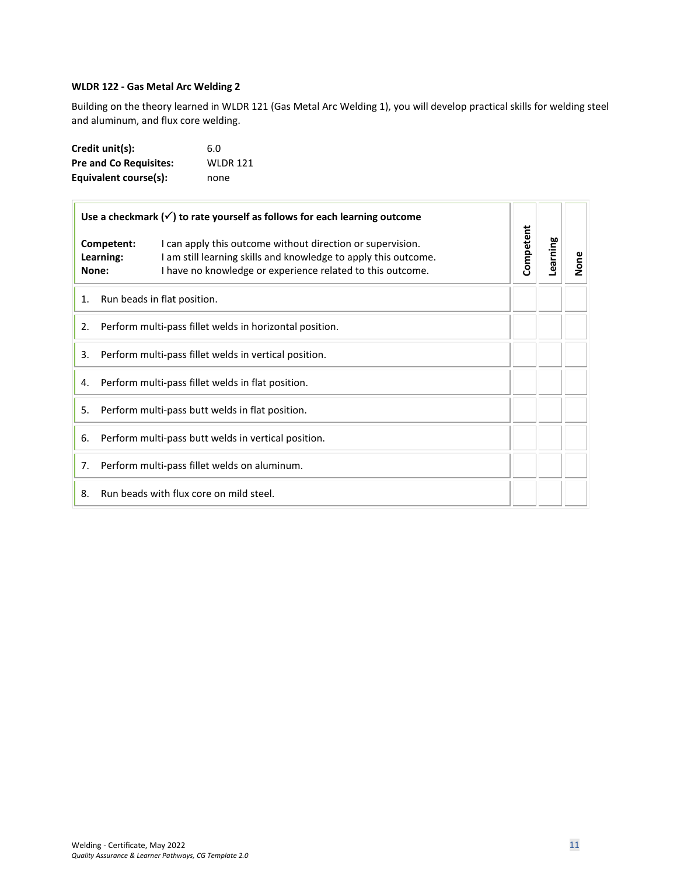#### <span id="page-10-0"></span>**WLDR 122 - Gas Metal Arc Welding 2**

Building on the theory learned in WLDR 121 (Gas Metal Arc Welding 1), you will develop practical skills for welding steel and aluminum, and flux core welding.

| Credit unit(s):               | 6.0             |
|-------------------------------|-----------------|
| <b>Pre and Co Requisites:</b> | <b>WLDR 121</b> |
| Equivalent course(s):         | none            |

|    |                                  | Use a checkmark $(\checkmark)$ to rate yourself as follows for each learning outcome                                                                                                        |                       |  |      |
|----|----------------------------------|---------------------------------------------------------------------------------------------------------------------------------------------------------------------------------------------|-----------------------|--|------|
|    | Competent:<br>Learning:<br>None: | I can apply this outcome without direction or supervision.<br>I am still learning skills and knowledge to apply this outcome.<br>I have no knowledge or experience related to this outcome. | Competent<br>Learning |  | None |
| 1. |                                  | Run beads in flat position.                                                                                                                                                                 |                       |  |      |
| 2. |                                  | Perform multi-pass fillet welds in horizontal position.                                                                                                                                     |                       |  |      |
| 3. |                                  | Perform multi-pass fillet welds in vertical position.                                                                                                                                       |                       |  |      |
| 4. |                                  | Perform multi-pass fillet welds in flat position.                                                                                                                                           |                       |  |      |
| 5. |                                  | Perform multi-pass butt welds in flat position.                                                                                                                                             |                       |  |      |
| 6. |                                  | Perform multi-pass butt welds in vertical position.                                                                                                                                         |                       |  |      |
| 7. |                                  | Perform multi-pass fillet welds on aluminum.                                                                                                                                                |                       |  |      |
| 8. |                                  | Run beads with flux core on mild steel.                                                                                                                                                     |                       |  |      |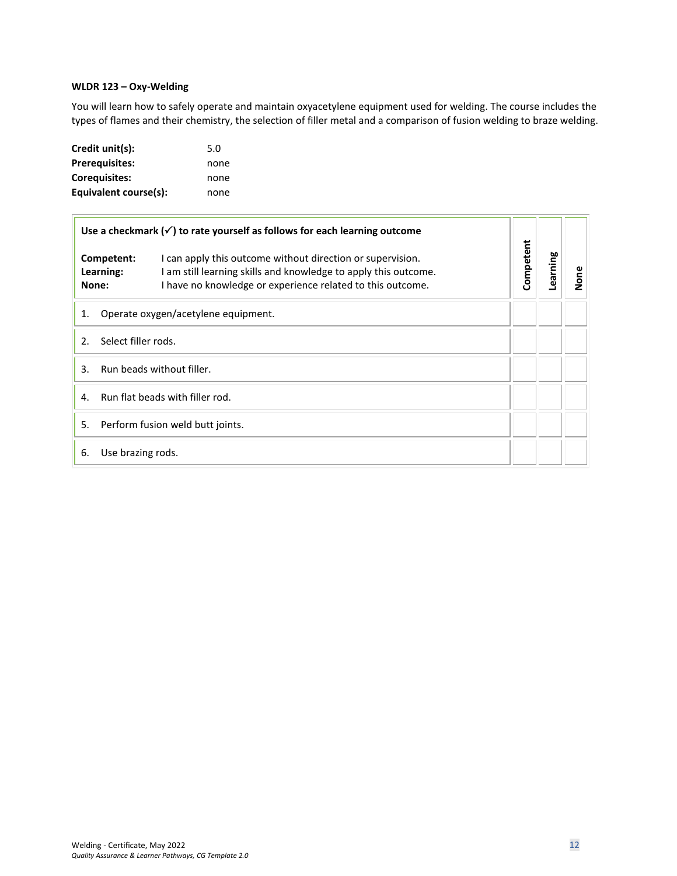#### <span id="page-11-0"></span>**WLDR 123 – Oxy-Welding**

You will learn how to safely operate and maintain oxyacetylene equipment used for welding. The course includes the types of flames and their chemistry, the selection of filler metal and a comparison of fusion welding to braze welding.

| Credit unit(s):       | 5.0  |
|-----------------------|------|
| <b>Prerequisites:</b> | none |
| <b>Corequisites:</b>  | none |
| Equivalent course(s): | none |

|                                           | Use a checkmark $(\checkmark)$ to rate yourself as follows for each learning outcome                                                                                                                                   |           |          |      |
|-------------------------------------------|------------------------------------------------------------------------------------------------------------------------------------------------------------------------------------------------------------------------|-----------|----------|------|
| None:                                     | I can apply this outcome without direction or supervision.<br>Competent:<br>I am still learning skills and knowledge to apply this outcome.<br>Learning:<br>I have no knowledge or experience related to this outcome. | Competent | Learning | None |
| Operate oxygen/acetylene equipment.<br>1. |                                                                                                                                                                                                                        |           |          |      |
| Select filler rods.<br>2.                 |                                                                                                                                                                                                                        |           |          |      |
| Run beads without filler.<br>3            |                                                                                                                                                                                                                        |           |          |      |
| Run flat beads with filler rod.<br>4.     |                                                                                                                                                                                                                        |           |          |      |
| 5.<br>Perform fusion weld butt joints.    |                                                                                                                                                                                                                        |           |          |      |
| 6.                                        | Use brazing rods.                                                                                                                                                                                                      |           |          |      |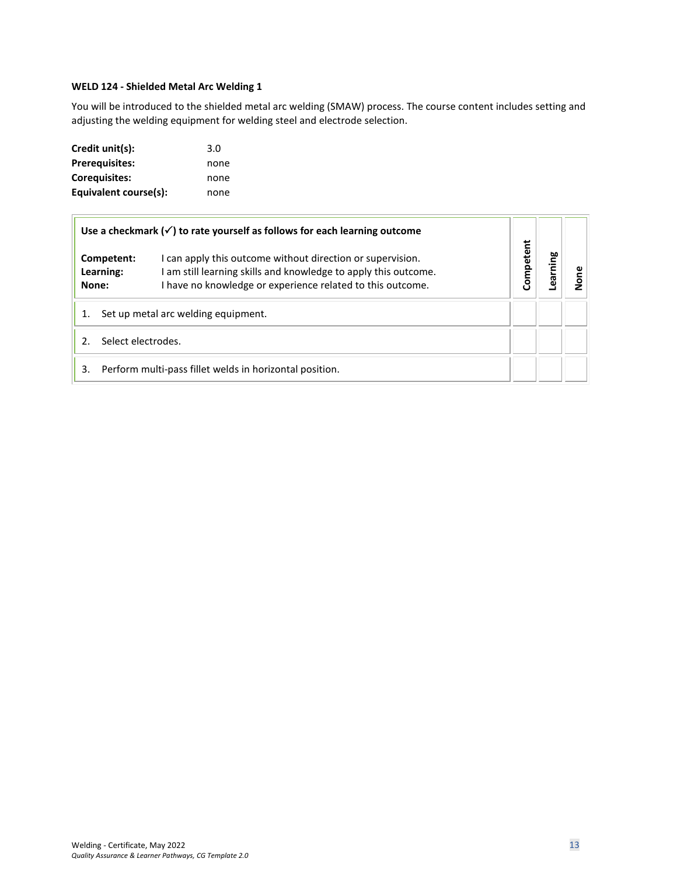#### <span id="page-12-0"></span>**WELD 124 - Shielded Metal Arc Welding 1**

You will be introduced to the shielded metal arc welding (SMAW) process. The course content includes setting and adjusting the welding equipment for welding steel and electrode selection.

| Credit unit(s):       | 3.0  |
|-----------------------|------|
| <b>Prerequisites:</b> | none |
| Coreguisites:         | none |
| Equivalent course(s): | none |

|                                     |                         | Use a checkmark $(\checkmark)$ to rate yourself as follows for each learning outcome                                                                                                        |           |         |        |
|-------------------------------------|-------------------------|---------------------------------------------------------------------------------------------------------------------------------------------------------------------------------------------|-----------|---------|--------|
| None:                               | Competent:<br>Learning: | I can apply this outcome without direction or supervision.<br>I am still learning skills and knowledge to apply this outcome.<br>I have no knowledge or experience related to this outcome. | Competent | earning | ဧ<br>ݹ |
| Set up metal arc welding equipment. |                         |                                                                                                                                                                                             |           |         |        |
| Select electrodes.<br>2.            |                         |                                                                                                                                                                                             |           |         |        |
| 3.                                  |                         | Perform multi-pass fillet welds in horizontal position.                                                                                                                                     |           |         |        |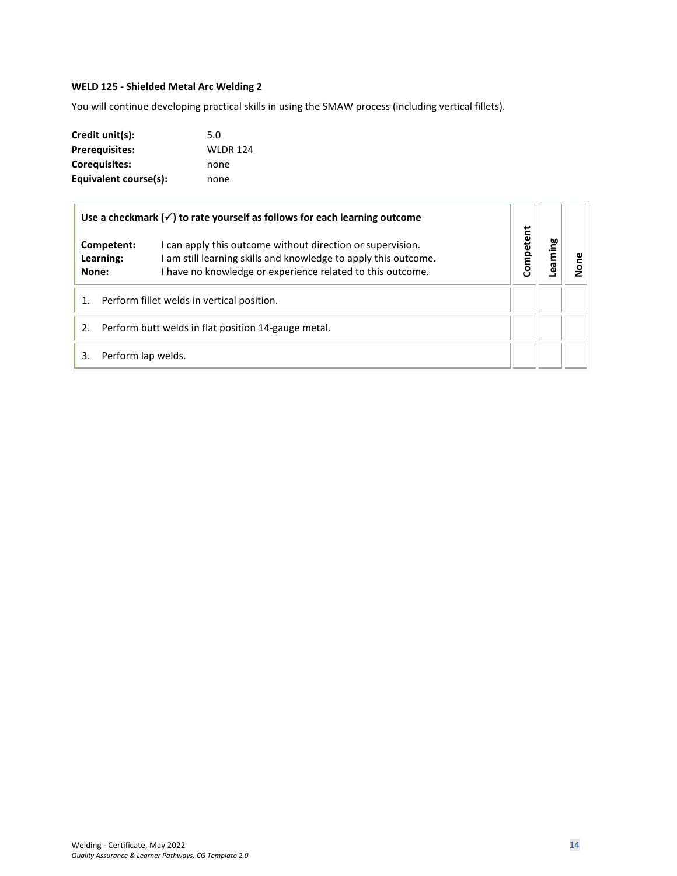# <span id="page-13-0"></span>**WELD 125 - Shielded Metal Arc Welding 2**

You will continue developing practical skills in using the SMAW process (including vertical fillets).

| Credit unit(s):       | 5.0             |
|-----------------------|-----------------|
| <b>Prerequisites:</b> | <b>WLDR 124</b> |
| Coreguisites:         | none            |
| Equivalent course(s): | none            |

|       |                                                     | Use a checkmark $(\checkmark)$ to rate yourself as follows for each learning outcome                                                                                                        |           |         |     |
|-------|-----------------------------------------------------|---------------------------------------------------------------------------------------------------------------------------------------------------------------------------------------------|-----------|---------|-----|
| None: | Competent:<br>Learning:                             | I can apply this outcome without direction or supervision.<br>I am still learning skills and knowledge to apply this outcome.<br>I have no knowledge or experience related to this outcome. | Competent | earning | gne |
|       | Perform fillet welds in vertical position.          |                                                                                                                                                                                             |           |         |     |
| 2.    | Perform butt welds in flat position 14-gauge metal. |                                                                                                                                                                                             |           |         |     |
| 3.    | Perform lap welds.                                  |                                                                                                                                                                                             |           |         |     |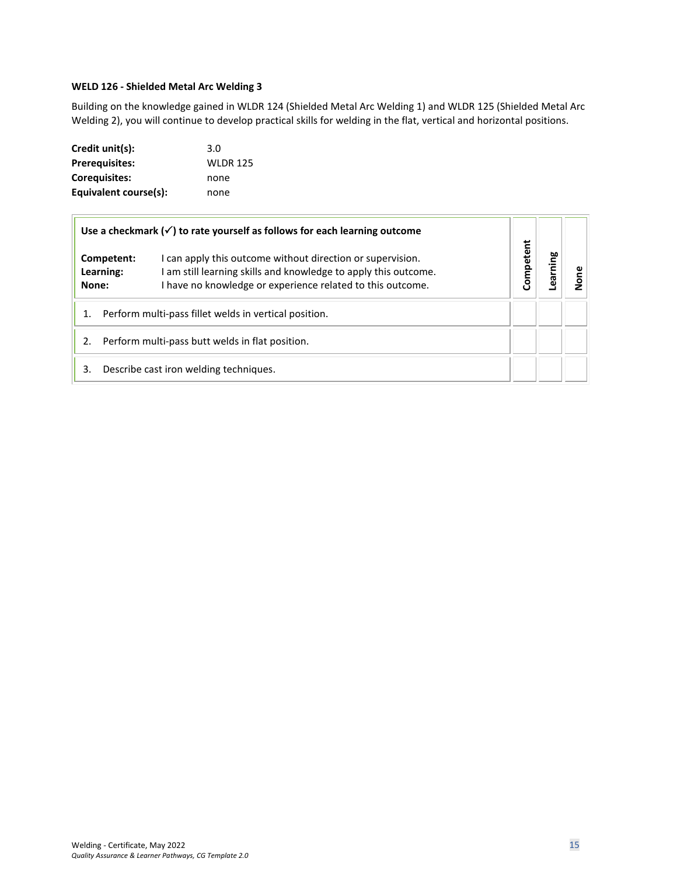#### <span id="page-14-0"></span>**WELD 126 - Shielded Metal Arc Welding 3**

Building on the knowledge gained in WLDR 124 (Shielded Metal Arc Welding 1) and WLDR 125 (Shielded Metal Arc Welding 2), you will continue to develop practical skills for welding in the flat, vertical and horizontal positions.

| Credit unit(s):       | 3.0             |
|-----------------------|-----------------|
| <b>Prerequisites:</b> | <b>WLDR 125</b> |
| <b>Corequisites:</b>  | none            |
| Equivalent course(s): | none            |

|                                                             | Use a checkmark $(\checkmark)$ to rate yourself as follows for each learning outcome                                                                                                        |           |         |   |
|-------------------------------------------------------------|---------------------------------------------------------------------------------------------------------------------------------------------------------------------------------------------|-----------|---------|---|
| Competent:<br>Learning:<br>None:                            | I can apply this outcome without direction or supervision.<br>I am still learning skills and knowledge to apply this outcome.<br>I have no knowledge or experience related to this outcome. | Competent | earning | ۅ |
| Perform multi-pass fillet welds in vertical position.<br>1. |                                                                                                                                                                                             |           |         |   |
| Perform multi-pass butt welds in flat position.<br>2.       |                                                                                                                                                                                             |           |         |   |
| 3.                                                          | Describe cast iron welding techniques.                                                                                                                                                      |           |         |   |